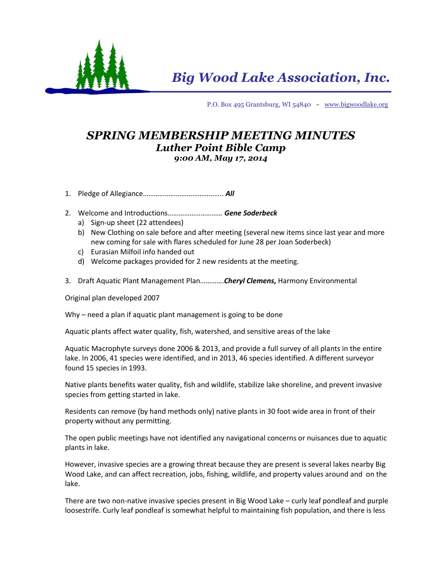

P.O. Box 495 Grantsburg, WI 54840 ~ [www.bigwoodlake.org](http://www.bigwoodlake.org/)

## *SPRING MEMBERSHIP MEETING MINUTES Luther Point Bible Camp 9:00 AM, May 17, 2014*

- 1. Pledge of Allegiance…………………………………….. *All*
- 2. Welcome and Introductions………………………… *Gene Soderbeck*
	- a) Sign-up sheet (22 attendees)
	- b) New Clothing on sale before and after meeting (several new items since last year and more new coming for sale with flares scheduled for June 28 per Joan Soderbeck)
	- c) Eurasian Milfoil info handed out
	- d) Welcome packages provided for 2 new residents at the meeting.
- 3. Draft Aquatic Plant Management Plan………….*Cheryl Clemens***,** Harmony Environmental

Original plan developed 2007

Why – need a plan if aquatic plant management is going to be done

Aquatic plants affect water quality, fish, watershed, and sensitive areas of the lake

Aquatic Macrophyte surveys done 2006 & 2013, and provide a full survey of all plants in the entire lake. In 2006, 41 species were identified, and in 2013, 46 species identified. A different surveyor found 15 species in 1993.

Native plants benefits water quality, fish and wildlife, stabilize lake shoreline, and prevent invasive species from getting started in lake.

Residents can remove (by hand methods only) native plants in 30 foot wide area in front of their property without any permitting.

The open public meetings have not identified any navigational concerns or nuisances due to aquatic plants in lake.

However, invasive species are a growing threat because they are present is several lakes nearby Big Wood Lake, and can affect recreation, jobs, fishing, wildlife, and property values around and on the lake.

There are two non-native invasive species present in Big Wood Lake – curly leaf pondleaf and purple loosestrife. Curly leaf pondleaf is somewhat helpful to maintaining fish population, and there is less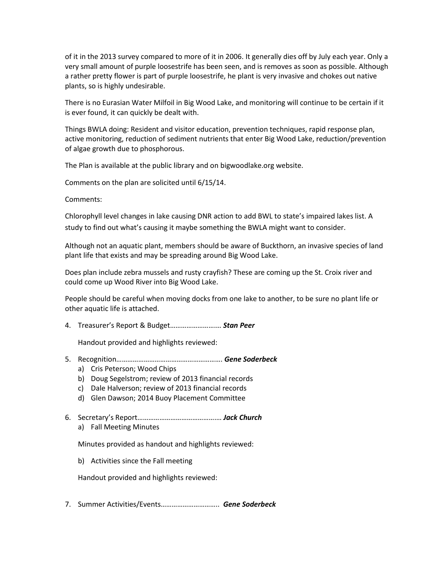of it in the 2013 survey compared to more of it in 2006. It generally dies off by July each year. Only a very small amount of purple loosestrife has been seen, and is removes as soon as possible. Although a rather pretty flower is part of purple loosestrife, he plant is very invasive and chokes out native plants, so is highly undesirable.

There is no Eurasian Water Milfoil in Big Wood Lake, and monitoring will continue to be certain if it is ever found, it can quickly be dealt with.

Things BWLA doing: Resident and visitor education, prevention techniques, rapid response plan, active monitoring, reduction of sediment nutrients that enter Big Wood Lake, reduction/prevention of algae growth due to phosphorous.

The Plan is available at the public library and on bigwoodlake.org website.

Comments on the plan are solicited until 6/15/14.

Comments:

Chlorophyll level changes in lake causing DNR action to add BWL to state's impaired lakes list. A study to find out what's causing it maybe something the BWLA might want to consider.

Although not an aquatic plant, members should be aware of Buckthorn, an invasive species of land plant life that exists and may be spreading around Big Wood Lake.

Does plan include zebra mussels and rusty crayfish? These are coming up the St. Croix river and could come up Wood River into Big Wood Lake.

People should be careful when moving docks from one lake to another, to be sure no plant life or other aquatic life is attached.

4. Treasurer's Report & Budget…………………….… *Stan Peer*

Handout provided and highlights reviewed:

- 5. Recognition…………………………………………………. *Gene Soderbeck*
	- a) Cris Peterson; Wood Chips
	- b) Doug Segelstrom; review of 2013 financial records
	- c) Dale Halverson; review of 2013 financial records
	- d) Glen Dawson; 2014 Buoy Placement Committee
- 6. Secretary's Report…………………………………….… *Jack Church*
	- a) Fall Meeting Minutes

Minutes provided as handout and highlights reviewed:

b) Activities since the Fall meeting

Handout provided and highlights reviewed:

7. Summer Activities/Events………………………….. *Gene Soderbeck*